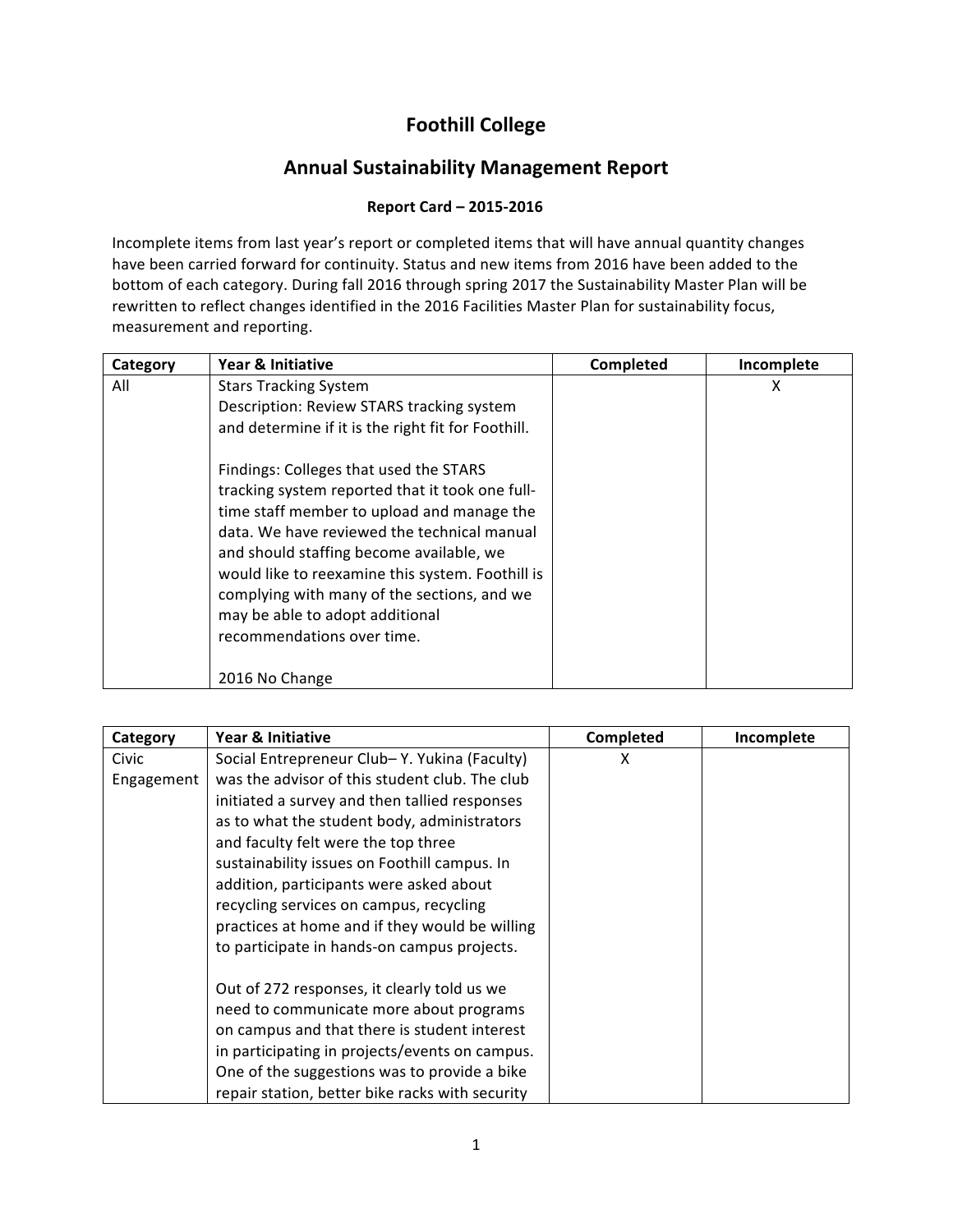## **Foothill'College'**

## **Annual Sustainability Management Report**

## """"""""**Report'Card'– 2015>2016**

Incomplete items from last year's report or completed items that will have annual quantity changes have been carried forward for continuity. Status and new items from 2016 have been added to the bottom of each category. During fall 2016 through spring 2017 the Sustainability Master Plan will be rewritten to reflect changes identified in the 2016 Facilities Master Plan for sustainability focus, measurement and reporting.

| Category | Year & Initiative                                                                                                                                                                                                                                                                                                                                                                                                                                                                                                                         | Completed | Incomplete |
|----------|-------------------------------------------------------------------------------------------------------------------------------------------------------------------------------------------------------------------------------------------------------------------------------------------------------------------------------------------------------------------------------------------------------------------------------------------------------------------------------------------------------------------------------------------|-----------|------------|
| All      | <b>Stars Tracking System</b><br>Description: Review STARS tracking system<br>and determine if it is the right fit for Foothill.<br>Findings: Colleges that used the STARS<br>tracking system reported that it took one full-<br>time staff member to upload and manage the<br>data. We have reviewed the technical manual<br>and should staffing become available, we<br>would like to reexamine this system. Foothill is<br>complying with many of the sections, and we<br>may be able to adopt additional<br>recommendations over time. |           | х          |
|          | 2016 No Change                                                                                                                                                                                                                                                                                                                                                                                                                                                                                                                            |           |            |

| Category   | Year & Initiative                               | Completed | Incomplete |
|------------|-------------------------------------------------|-----------|------------|
| Civic      | Social Entrepreneur Club-Y. Yukina (Faculty)    | x         |            |
| Engagement | was the advisor of this student club. The club  |           |            |
|            | initiated a survey and then tallied responses   |           |            |
|            | as to what the student body, administrators     |           |            |
|            | and faculty felt were the top three             |           |            |
|            | sustainability issues on Foothill campus. In    |           |            |
|            | addition, participants were asked about         |           |            |
|            | recycling services on campus, recycling         |           |            |
|            | practices at home and if they would be willing  |           |            |
|            | to participate in hands-on campus projects.     |           |            |
|            | Out of 272 responses, it clearly told us we     |           |            |
|            | need to communicate more about programs         |           |            |
|            | on campus and that there is student interest    |           |            |
|            | in participating in projects/events on campus.  |           |            |
|            | One of the suggestions was to provide a bike    |           |            |
|            | repair station, better bike racks with security |           |            |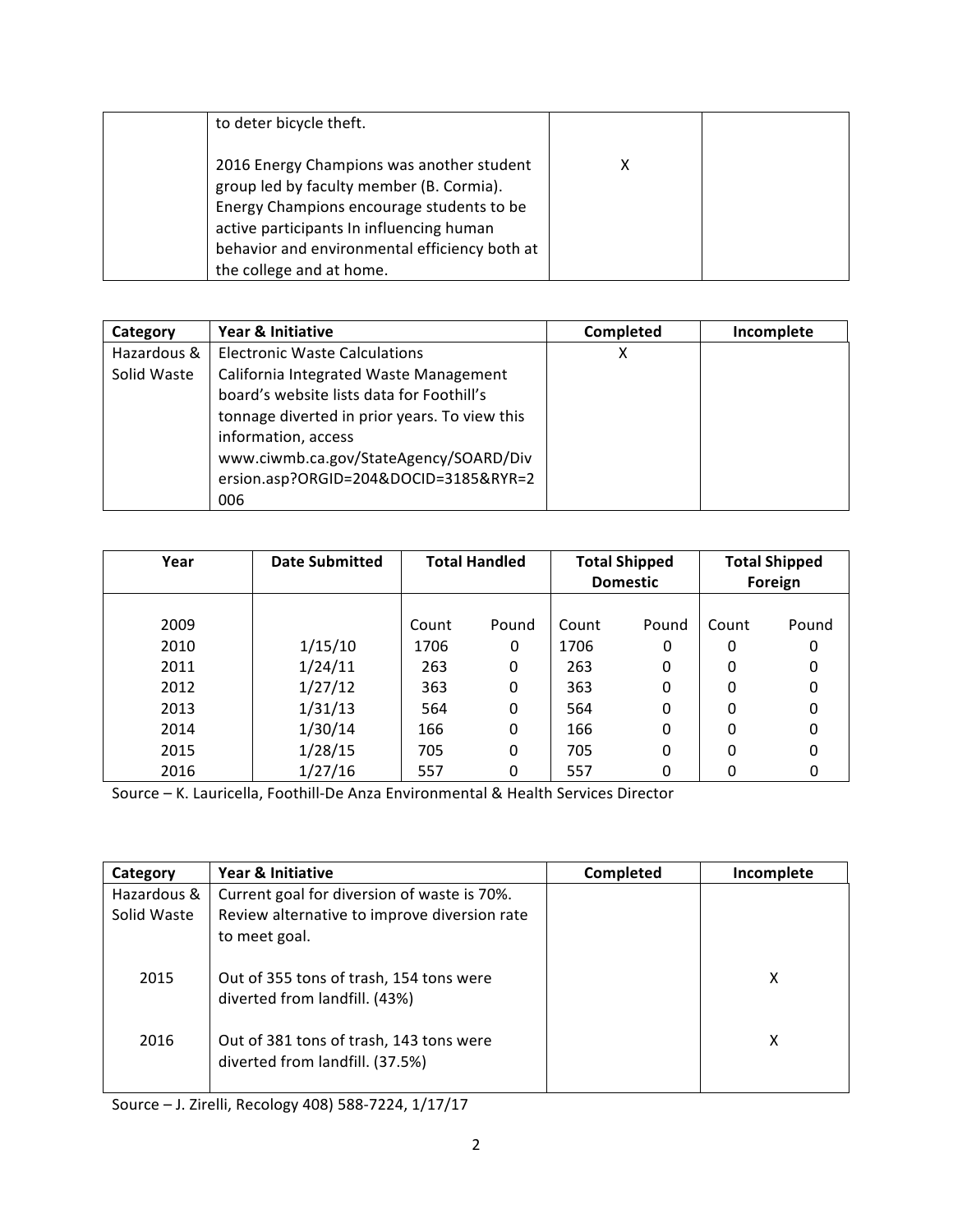| to deter bicycle theft.                                                                                                                                                                                                         |  |
|---------------------------------------------------------------------------------------------------------------------------------------------------------------------------------------------------------------------------------|--|
| 2016 Energy Champions was another student<br>group led by faculty member (B. Cormia).<br>Energy Champions encourage students to be<br>active participants In influencing human<br>behavior and environmental efficiency both at |  |
| the college and at home.                                                                                                                                                                                                        |  |

| Category    | Year & Initiative                             | Completed | Incomplete |
|-------------|-----------------------------------------------|-----------|------------|
| Hazardous & | <b>Electronic Waste Calculations</b>          | х         |            |
| Solid Waste | California Integrated Waste Management        |           |            |
|             | board's website lists data for Foothill's     |           |            |
|             | tonnage diverted in prior years. To view this |           |            |
|             | information, access                           |           |            |
|             | www.ciwmb.ca.gov/StateAgency/SOARD/Div        |           |            |
|             | ersion.asp?ORGID=204&DOCID=3185&RYR=2         |           |            |
|             | 006                                           |           |            |

| Year | <b>Date Submitted</b> | <b>Total Handled</b> |       |       | <b>Total Shipped</b><br><b>Domestic</b> |       | <b>Total Shipped</b><br>Foreign |
|------|-----------------------|----------------------|-------|-------|-----------------------------------------|-------|---------------------------------|
|      |                       |                      |       |       |                                         |       |                                 |
| 2009 |                       | Count                | Pound | Count | Pound                                   | Count | Pound                           |
| 2010 | 1/15/10               | 1706                 | 0     | 1706  | 0                                       | 0     | 0                               |
| 2011 | 1/24/11               | 263                  | 0     | 263   | 0                                       | 0     | 0                               |
| 2012 | 1/27/12               | 363                  | 0     | 363   | 0                                       | 0     | 0                               |
| 2013 | 1/31/13               | 564                  | 0     | 564   | 0                                       | 0     | 0                               |
| 2014 | 1/30/14               | 166                  | 0     | 166   | 0                                       | 0     | 0                               |
| 2015 | 1/28/15               | 705                  | 0     | 705   | 0                                       | 0     | 0                               |
| 2016 | 1/27/16               | 557                  | 0     | 557   | 0                                       | 0     |                                 |

Source – K. Lauricella, Foothill-De Anza Environmental & Health Services Director

| Category    | Year & Initiative                                                          | Completed | Incomplete |
|-------------|----------------------------------------------------------------------------|-----------|------------|
| Hazardous & | Current goal for diversion of waste is 70%.                                |           |            |
| Solid Waste | Review alternative to improve diversion rate                               |           |            |
|             | to meet goal.                                                              |           |            |
| 2015        | Out of 355 tons of trash, 154 tons were<br>diverted from landfill. (43%)   |           | χ          |
| 2016        | Out of 381 tons of trash, 143 tons were<br>diverted from landfill. (37.5%) |           | χ          |

Source – J. Zirelli, Recology 408) 588-7224, 1/17/17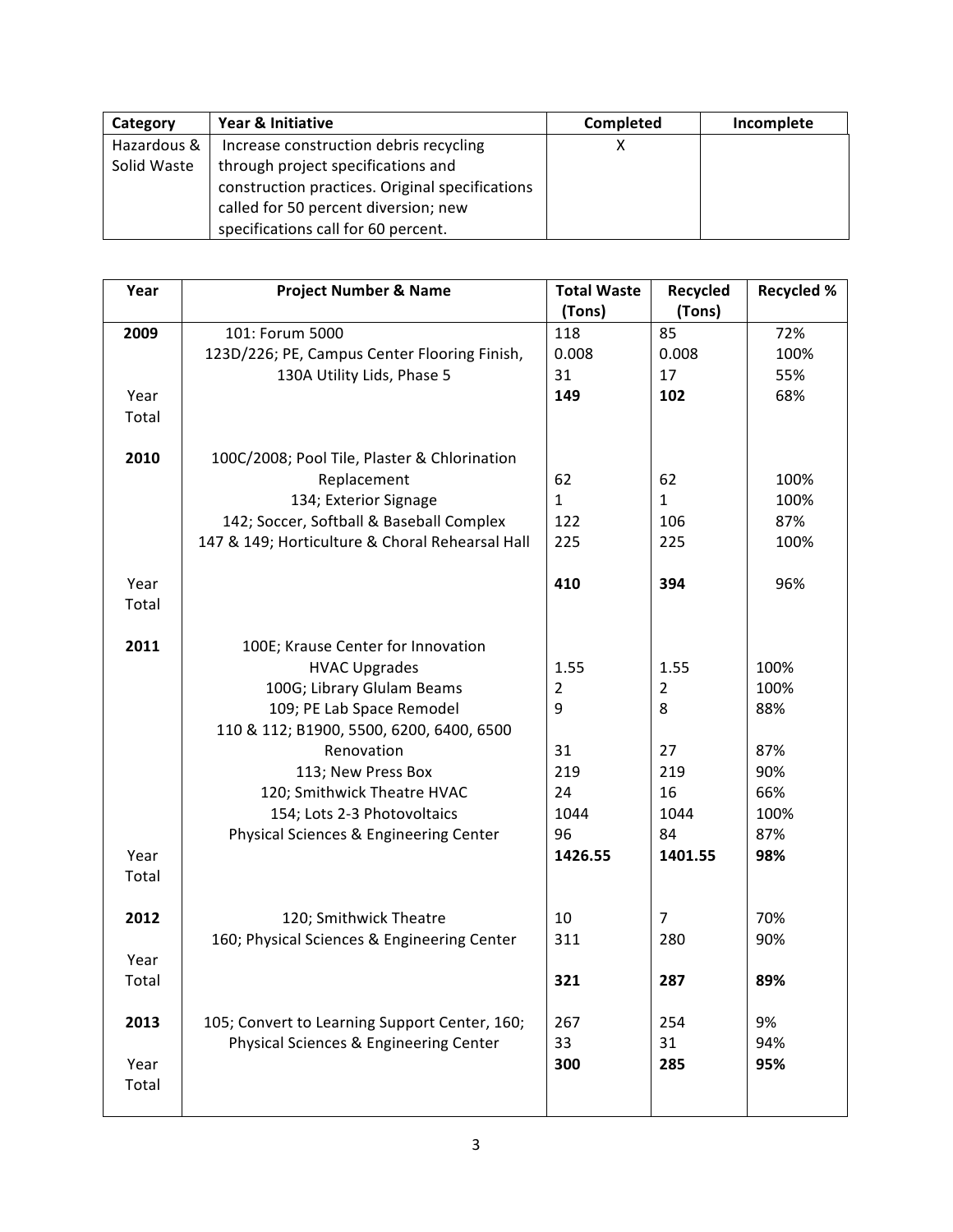| Category    | Year & Initiative                               | <b>Completed</b> | Incomplete |
|-------------|-------------------------------------------------|------------------|------------|
| Hazardous & | Increase construction debris recycling          |                  |            |
| Solid Waste | through project specifications and              |                  |            |
|             | construction practices. Original specifications |                  |            |
|             | called for 50 percent diversion; new            |                  |            |
|             | specifications call for 60 percent.             |                  |            |

| Year  | <b>Project Number &amp; Name</b>                | <b>Total Waste</b><br>(Tons) | Recycled<br>(Tons) | <b>Recycled %</b> |
|-------|-------------------------------------------------|------------------------------|--------------------|-------------------|
| 2009  | 101: Forum 5000                                 | 118                          | 85                 | 72%               |
|       | 123D/226; PE, Campus Center Flooring Finish,    | 0.008                        | 0.008              | 100%              |
|       | 130A Utility Lids, Phase 5                      | 31                           | 17                 | 55%               |
| Year  |                                                 | 149                          | 102                | 68%               |
| Total |                                                 |                              |                    |                   |
|       |                                                 |                              |                    |                   |
| 2010  | 100C/2008; Pool Tile, Plaster & Chlorination    |                              |                    |                   |
|       | Replacement                                     | 62                           | 62                 | 100%              |
|       | 134; Exterior Signage                           | $\mathbf{1}$                 | $\mathbf{1}$       | 100%              |
|       | 142; Soccer, Softball & Baseball Complex        | 122                          | 106                | 87%               |
|       | 147 & 149; Horticulture & Choral Rehearsal Hall | 225                          | 225                | 100%              |
|       |                                                 |                              |                    |                   |
| Year  |                                                 | 410                          | 394                | 96%               |
| Total |                                                 |                              |                    |                   |
|       |                                                 |                              |                    |                   |
| 2011  | 100E; Krause Center for Innovation              |                              |                    |                   |
|       | <b>HVAC Upgrades</b>                            | 1.55                         | 1.55               | 100%              |
|       | 100G; Library Glulam Beams                      | $\overline{2}$               | $\overline{2}$     | 100%              |
|       | 109; PE Lab Space Remodel                       | 9                            | 8                  | 88%               |
|       | 110 & 112; B1900, 5500, 6200, 6400, 6500        |                              |                    |                   |
|       | Renovation                                      | 31                           | 27                 | 87%               |
|       | 113; New Press Box                              | 219                          | 219                | 90%               |
|       | 120; Smithwick Theatre HVAC                     | 24                           | 16                 | 66%               |
|       | 154; Lots 2-3 Photovoltaics                     | 1044                         | 1044               | 100%              |
|       | Physical Sciences & Engineering Center          | 96                           | 84                 | 87%               |
| Year  |                                                 | 1426.55                      | 1401.55            | 98%               |
| Total |                                                 |                              |                    |                   |
|       |                                                 |                              |                    |                   |
| 2012  | 120; Smithwick Theatre                          | 10                           | $\overline{7}$     | 70%               |
|       | 160; Physical Sciences & Engineering Center     | 311                          | 280                | 90%               |
| Year  |                                                 |                              |                    |                   |
| Total |                                                 | 321                          | 287                | 89%               |
|       |                                                 |                              |                    |                   |
| 2013  | 105; Convert to Learning Support Center, 160;   | 267                          | 254                | 9%                |
|       | Physical Sciences & Engineering Center          | 33                           | 31                 | 94%               |
| Year  |                                                 | 300                          | 285                | 95%               |
| Total |                                                 |                              |                    |                   |
|       |                                                 |                              |                    |                   |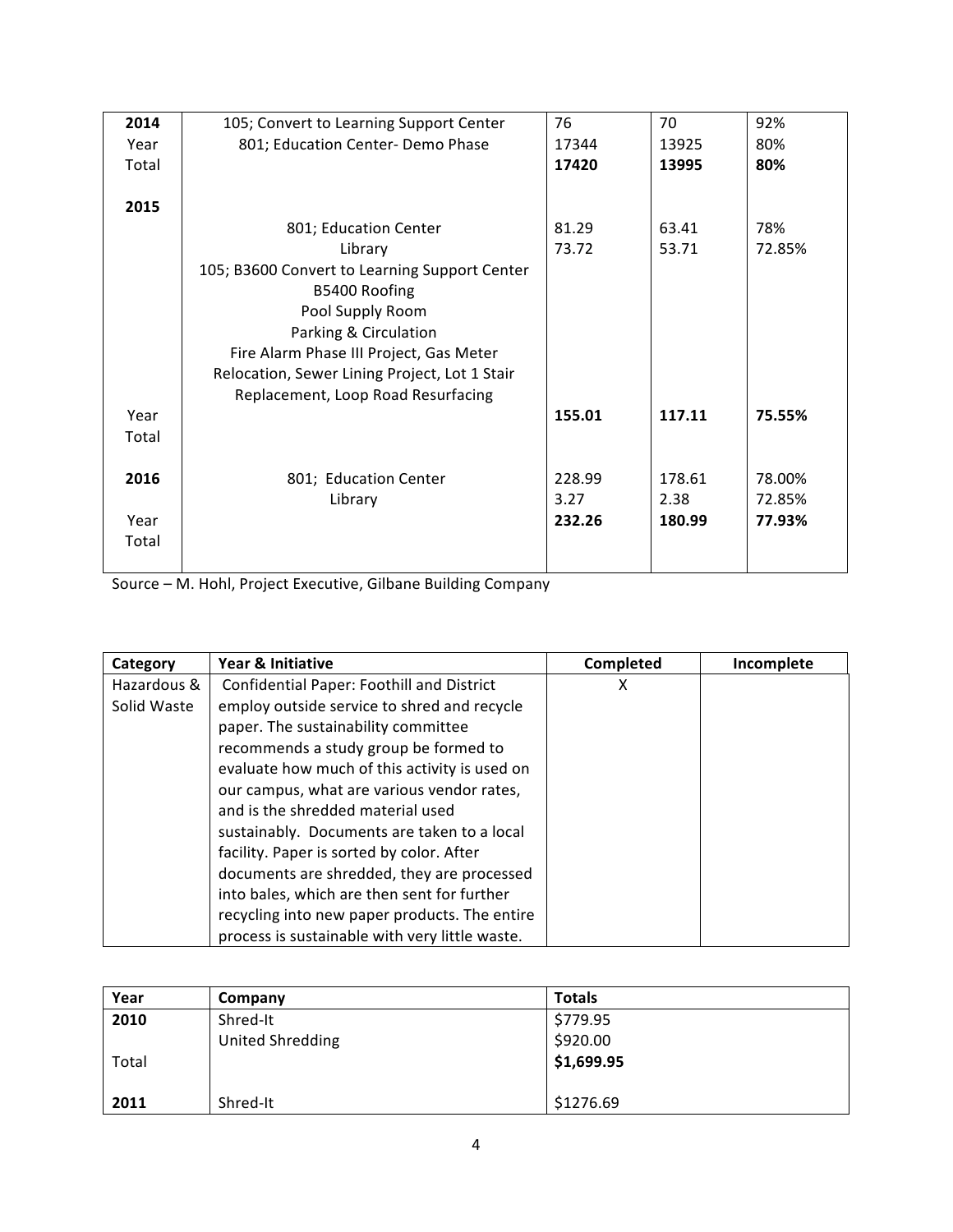| 2014  | 105; Convert to Learning Support Center       | 76     | 70     | 92%    |
|-------|-----------------------------------------------|--------|--------|--------|
| Year  | 801; Education Center- Demo Phase             | 17344  | 13925  | 80%    |
| Total |                                               | 17420  | 13995  | 80%    |
|       |                                               |        |        |        |
| 2015  |                                               |        |        |        |
|       | 801; Education Center                         | 81.29  | 63.41  | 78%    |
|       | Library                                       | 73.72  | 53.71  | 72.85% |
|       | 105; B3600 Convert to Learning Support Center |        |        |        |
|       | B5400 Roofing                                 |        |        |        |
|       | Pool Supply Room                              |        |        |        |
|       | Parking & Circulation                         |        |        |        |
|       | Fire Alarm Phase III Project, Gas Meter       |        |        |        |
|       | Relocation, Sewer Lining Project, Lot 1 Stair |        |        |        |
|       | Replacement, Loop Road Resurfacing            |        |        |        |
| Year  |                                               | 155.01 | 117.11 | 75.55% |
| Total |                                               |        |        |        |
|       |                                               |        |        |        |
| 2016  | 801; Education Center                         | 228.99 | 178.61 | 78.00% |
|       | Library                                       | 3.27   | 2.38   | 72.85% |
| Year  |                                               | 232.26 | 180.99 | 77.93% |
| Total |                                               |        |        |        |
|       |                                               |        |        |        |

Source – M. Hohl, Project Executive, Gilbane Building Company

| Category    | Year & Initiative                              | Completed | Incomplete |
|-------------|------------------------------------------------|-----------|------------|
| Hazardous & | Confidential Paper: Foothill and District      | х         |            |
| Solid Waste | employ outside service to shred and recycle    |           |            |
|             | paper. The sustainability committee            |           |            |
|             | recommends a study group be formed to          |           |            |
|             | evaluate how much of this activity is used on  |           |            |
|             | our campus, what are various vendor rates,     |           |            |
|             | and is the shredded material used              |           |            |
|             | sustainably. Documents are taken to a local    |           |            |
|             | facility. Paper is sorted by color. After      |           |            |
|             | documents are shredded, they are processed     |           |            |
|             | into bales, which are then sent for further    |           |            |
|             | recycling into new paper products. The entire  |           |            |
|             | process is sustainable with very little waste. |           |            |

| Year  | Company                 | <b>Totals</b> |
|-------|-------------------------|---------------|
| 2010  | Shred-It                | \$779.95      |
|       | <b>United Shredding</b> | \$920.00      |
| Total |                         | \$1,699.95    |
|       |                         |               |
| 2011  | Shred-It                | \$1276.69     |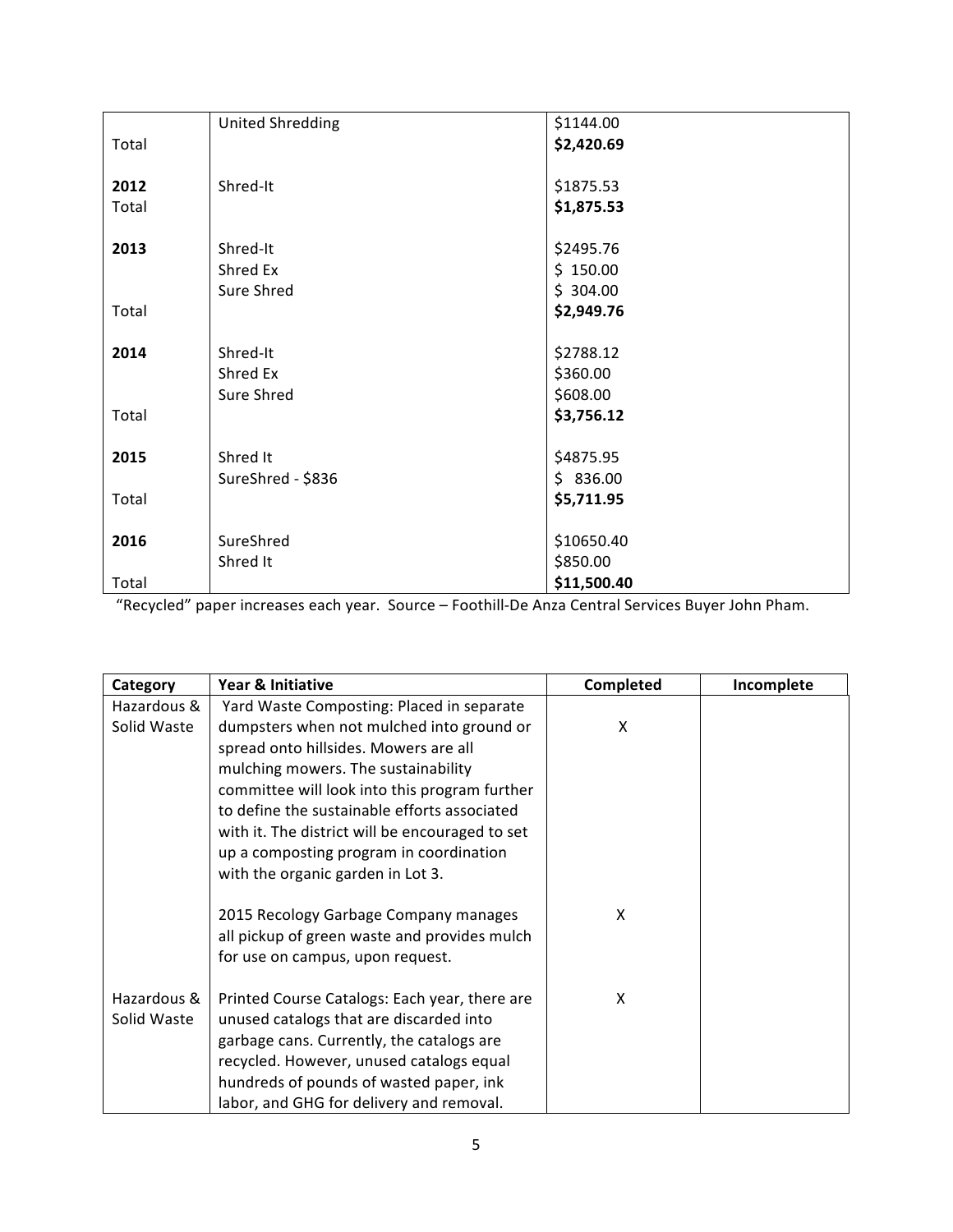|       | <b>United Shredding</b> | \$1144.00   |
|-------|-------------------------|-------------|
| Total |                         | \$2,420.69  |
|       |                         |             |
| 2012  | Shred-It                | \$1875.53   |
| Total |                         | \$1,875.53  |
|       |                         |             |
| 2013  | Shred-It                | \$2495.76   |
|       | Shred Ex                | \$150.00    |
|       | Sure Shred              | \$304.00    |
| Total |                         | \$2,949.76  |
|       |                         |             |
| 2014  | Shred-It                | \$2788.12   |
|       | Shred Ex                | \$360.00    |
|       | Sure Shred              | \$608.00    |
| Total |                         | \$3,756.12  |
|       |                         |             |
| 2015  | Shred It                | \$4875.95   |
|       | SureShred - \$836       | \$836.00    |
| Total |                         | \$5,711.95  |
|       |                         |             |
| 2016  | SureShred               | \$10650.40  |
|       | Shred It                | \$850.00    |
| Total |                         | \$11,500.40 |

"Recycled" paper increases each year. Source – Foothill-De Anza Central Services Buyer John Pham.

| Category    | Year & Initiative                               | Completed | Incomplete |
|-------------|-------------------------------------------------|-----------|------------|
| Hazardous & | Yard Waste Composting: Placed in separate       |           |            |
| Solid Waste | dumpsters when not mulched into ground or       | x         |            |
|             | spread onto hillsides. Mowers are all           |           |            |
|             | mulching mowers. The sustainability             |           |            |
|             | committee will look into this program further   |           |            |
|             | to define the sustainable efforts associated    |           |            |
|             | with it. The district will be encouraged to set |           |            |
|             | up a composting program in coordination         |           |            |
|             | with the organic garden in Lot 3.               |           |            |
|             |                                                 |           |            |
|             | 2015 Recology Garbage Company manages           | x         |            |
|             | all pickup of green waste and provides mulch    |           |            |
|             | for use on campus, upon request.                |           |            |
| Hazardous & | Printed Course Catalogs: Each year, there are   | X         |            |
| Solid Waste | unused catalogs that are discarded into         |           |            |
|             | garbage cans. Currently, the catalogs are       |           |            |
|             | recycled. However, unused catalogs equal        |           |            |
|             | hundreds of pounds of wasted paper, ink         |           |            |
|             | labor, and GHG for delivery and removal.        |           |            |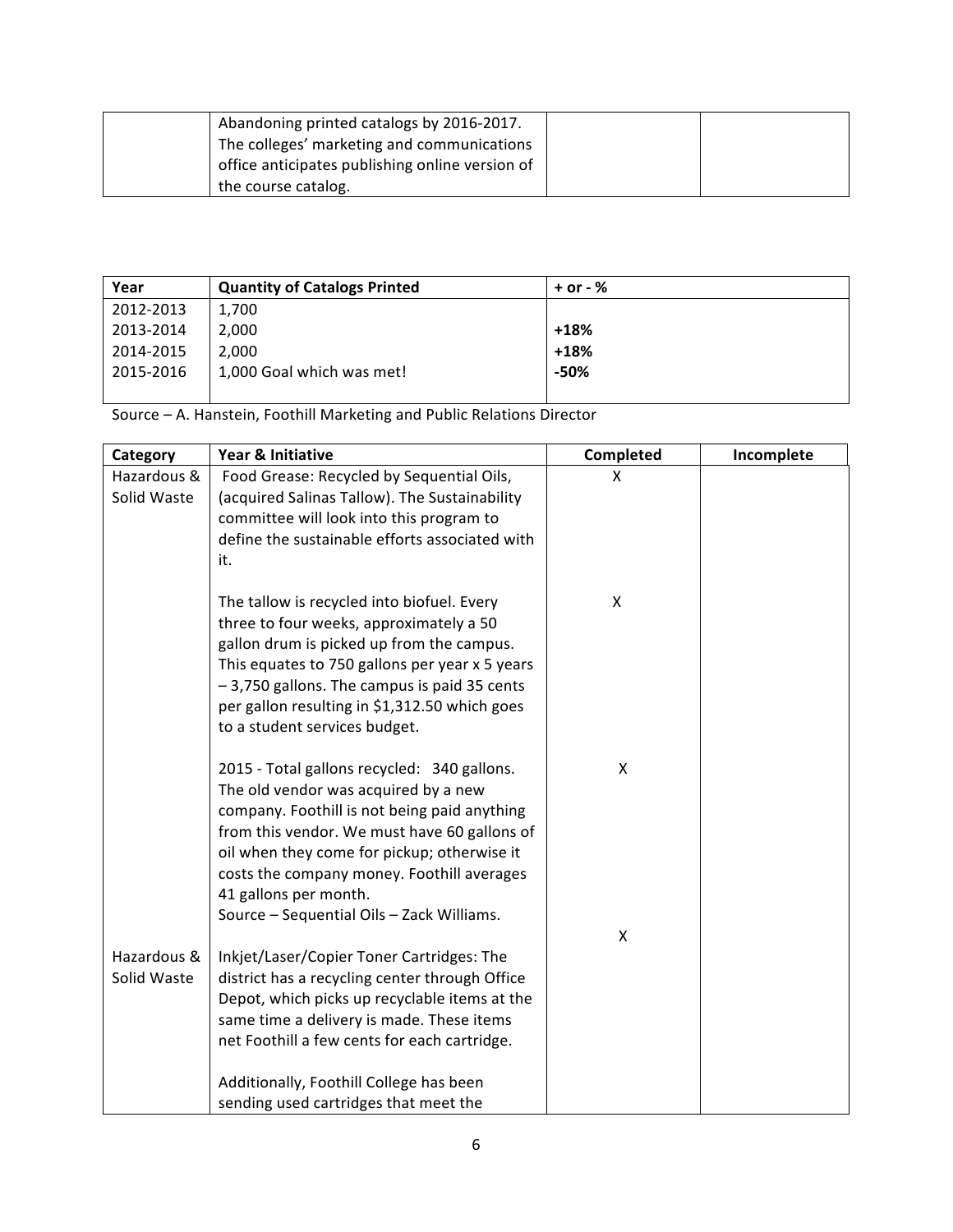| Abandoning printed catalogs by 2016-2017.       |  |
|-------------------------------------------------|--|
| The colleges' marketing and communications      |  |
| office anticipates publishing online version of |  |
| the course catalog.                             |  |

| Year      | <b>Quantity of Catalogs Printed</b> | $+$ or - $%$ |
|-----------|-------------------------------------|--------------|
| 2012-2013 | 1,700                               |              |
| 2013-2014 | 2,000                               | +18%         |
| 2014-2015 | 2,000                               | $+18%$       |
| 2015-2016 | 1,000 Goal which was met!           | -50%         |
|           |                                     |              |

Source"– A."Hanstein,"Foothill"Marketing"and"Public"Relations"Director

| Category    | Year & Initiative                              | Completed | Incomplete |
|-------------|------------------------------------------------|-----------|------------|
| Hazardous & | Food Grease: Recycled by Sequential Oils,      | X         |            |
| Solid Waste | (acquired Salinas Tallow). The Sustainability  |           |            |
|             | committee will look into this program to       |           |            |
|             | define the sustainable efforts associated with |           |            |
|             | it.                                            |           |            |
|             | The tallow is recycled into biofuel. Every     | X         |            |
|             | three to four weeks, approximately a 50        |           |            |
|             | gallon drum is picked up from the campus.      |           |            |
|             | This equates to 750 gallons per year x 5 years |           |            |
|             | -3,750 gallons. The campus is paid 35 cents    |           |            |
|             | per gallon resulting in \$1,312.50 which goes  |           |            |
|             | to a student services budget.                  |           |            |
|             | 2015 - Total gallons recycled: 340 gallons.    | X         |            |
|             | The old vendor was acquired by a new           |           |            |
|             | company. Foothill is not being paid anything   |           |            |
|             | from this vendor. We must have 60 gallons of   |           |            |
|             | oil when they come for pickup; otherwise it    |           |            |
|             | costs the company money. Foothill averages     |           |            |
|             | 41 gallons per month.                          |           |            |
|             | Source - Sequential Oils - Zack Williams.      | X         |            |
| Hazardous & | Inkjet/Laser/Copier Toner Cartridges: The      |           |            |
| Solid Waste | district has a recycling center through Office |           |            |
|             | Depot, which picks up recyclable items at the  |           |            |
|             | same time a delivery is made. These items      |           |            |
|             | net Foothill a few cents for each cartridge.   |           |            |
|             | Additionally, Foothill College has been        |           |            |
|             | sending used cartridges that meet the          |           |            |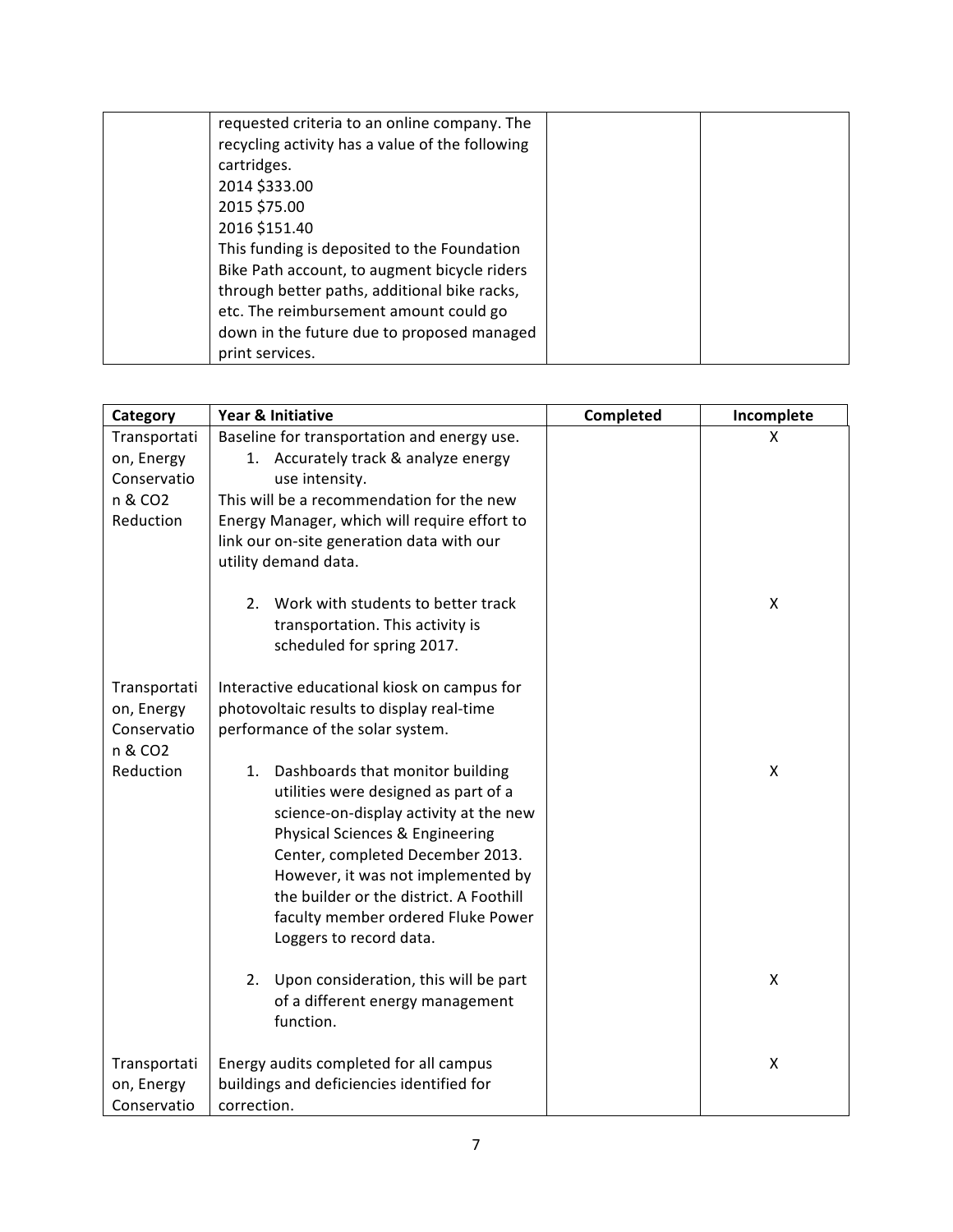| requested criteria to an online company. The<br>recycling activity has a value of the following |  |
|-------------------------------------------------------------------------------------------------|--|
| cartridges.                                                                                     |  |
| 2014 \$333.00                                                                                   |  |
| 2015 \$75.00                                                                                    |  |
| 2016 \$151.40                                                                                   |  |
| This funding is deposited to the Foundation                                                     |  |
| Bike Path account, to augment bicycle riders                                                    |  |
| through better paths, additional bike racks,                                                    |  |
| etc. The reimbursement amount could go                                                          |  |
| down in the future due to proposed managed                                                      |  |
| print services.                                                                                 |  |

| Category                   | Year & Initiative                                                                   | Completed | Incomplete         |
|----------------------------|-------------------------------------------------------------------------------------|-----------|--------------------|
| Transportati<br>on, Energy | Baseline for transportation and energy use.<br>1. Accurately track & analyze energy |           | X                  |
| Conservatio                | use intensity.                                                                      |           |                    |
| n & CO2                    | This will be a recommendation for the new                                           |           |                    |
| Reduction                  | Energy Manager, which will require effort to                                        |           |                    |
|                            | link our on-site generation data with our                                           |           |                    |
|                            | utility demand data.                                                                |           |                    |
|                            | Work with students to better track<br>2.                                            |           | X                  |
|                            | transportation. This activity is                                                    |           |                    |
|                            | scheduled for spring 2017.                                                          |           |                    |
| Transportati               | Interactive educational kiosk on campus for                                         |           |                    |
| on, Energy                 | photovoltaic results to display real-time                                           |           |                    |
| Conservatio                | performance of the solar system.                                                    |           |                    |
| n & CO2                    |                                                                                     |           |                    |
| Reduction                  | Dashboards that monitor building<br>1.<br>utilities were designed as part of a      |           | Χ                  |
|                            | science-on-display activity at the new                                              |           |                    |
|                            | Physical Sciences & Engineering                                                     |           |                    |
|                            | Center, completed December 2013.                                                    |           |                    |
|                            | However, it was not implemented by                                                  |           |                    |
|                            | the builder or the district. A Foothill                                             |           |                    |
|                            | faculty member ordered Fluke Power                                                  |           |                    |
|                            | Loggers to record data.                                                             |           |                    |
|                            | Upon consideration, this will be part<br>2.                                         |           | Χ                  |
|                            | of a different energy management                                                    |           |                    |
|                            | function.                                                                           |           |                    |
|                            |                                                                                     |           |                    |
| Transportati<br>on, Energy | Energy audits completed for all campus<br>buildings and deficiencies identified for |           | $\pmb{\mathsf{X}}$ |
| Conservatio                | correction.                                                                         |           |                    |
|                            |                                                                                     |           |                    |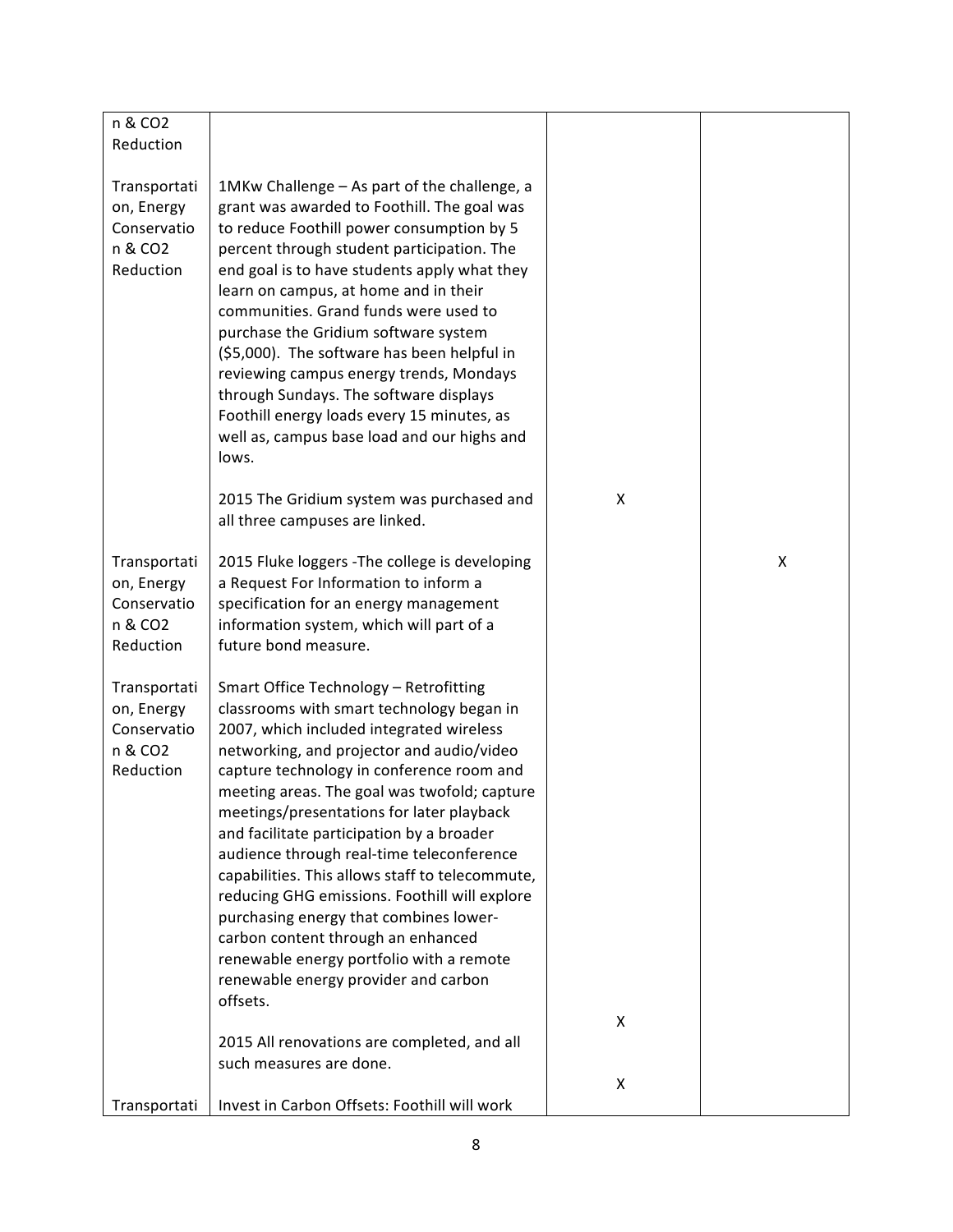| n & CO2                                                           |                                                                                                                                                                                                                                                                                                                                                                                                                                                                                                                                                                                                                                                                                                      |   |   |
|-------------------------------------------------------------------|------------------------------------------------------------------------------------------------------------------------------------------------------------------------------------------------------------------------------------------------------------------------------------------------------------------------------------------------------------------------------------------------------------------------------------------------------------------------------------------------------------------------------------------------------------------------------------------------------------------------------------------------------------------------------------------------------|---|---|
| Reduction                                                         |                                                                                                                                                                                                                                                                                                                                                                                                                                                                                                                                                                                                                                                                                                      |   |   |
| Transportati<br>on, Energy<br>Conservatio<br>n & CO2<br>Reduction | 1MKw Challenge – As part of the challenge, a<br>grant was awarded to Foothill. The goal was<br>to reduce Foothill power consumption by 5<br>percent through student participation. The<br>end goal is to have students apply what they<br>learn on campus, at home and in their<br>communities. Grand funds were used to<br>purchase the Gridium software system<br>(\$5,000). The software has been helpful in<br>reviewing campus energy trends, Mondays<br>through Sundays. The software displays<br>Foothill energy loads every 15 minutes, as<br>well as, campus base load and our highs and<br>lows.                                                                                           |   |   |
|                                                                   | 2015 The Gridium system was purchased and                                                                                                                                                                                                                                                                                                                                                                                                                                                                                                                                                                                                                                                            | X |   |
|                                                                   | all three campuses are linked.                                                                                                                                                                                                                                                                                                                                                                                                                                                                                                                                                                                                                                                                       |   |   |
| Transportati<br>on, Energy<br>Conservatio<br>n & CO2<br>Reduction | 2015 Fluke loggers - The college is developing<br>a Request For Information to inform a<br>specification for an energy management<br>information system, which will part of a<br>future bond measure.                                                                                                                                                                                                                                                                                                                                                                                                                                                                                                |   | X |
| Transportati<br>on, Energy<br>Conservatio<br>n & CO2<br>Reduction | Smart Office Technology - Retrofitting<br>classrooms with smart technology began in<br>2007, which included integrated wireless<br>networking, and projector and audio/video<br>capture technology in conference room and<br>meeting areas. The goal was twofold; capture<br>meetings/presentations for later playback<br>and facilitate participation by a broader<br>audience through real-time teleconference<br>capabilities. This allows staff to telecommute,<br>reducing GHG emissions. Foothill will explore<br>purchasing energy that combines lower-<br>carbon content through an enhanced<br>renewable energy portfolio with a remote<br>renewable energy provider and carbon<br>offsets. |   |   |
|                                                                   |                                                                                                                                                                                                                                                                                                                                                                                                                                                                                                                                                                                                                                                                                                      | X |   |
|                                                                   | 2015 All renovations are completed, and all<br>such measures are done.                                                                                                                                                                                                                                                                                                                                                                                                                                                                                                                                                                                                                               |   |   |
| Transportati                                                      | Invest in Carbon Offsets: Foothill will work                                                                                                                                                                                                                                                                                                                                                                                                                                                                                                                                                                                                                                                         | X |   |
|                                                                   |                                                                                                                                                                                                                                                                                                                                                                                                                                                                                                                                                                                                                                                                                                      |   |   |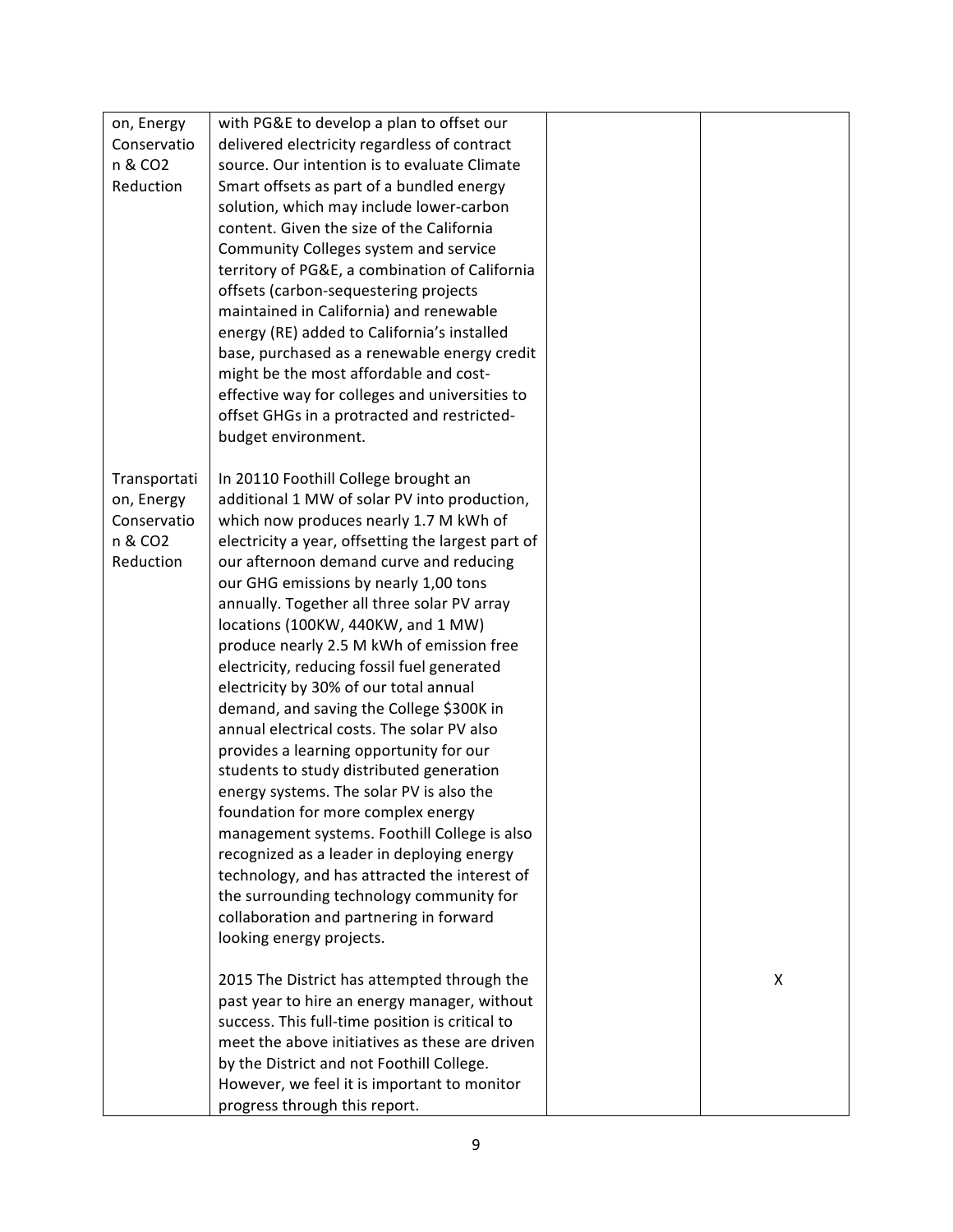| on, Energy          | with PG&E to develop a plan to offset our          |   |
|---------------------|----------------------------------------------------|---|
| Conservatio         | delivered electricity regardless of contract       |   |
| n & CO <sub>2</sub> | source. Our intention is to evaluate Climate       |   |
| Reduction           | Smart offsets as part of a bundled energy          |   |
|                     | solution, which may include lower-carbon           |   |
|                     | content. Given the size of the California          |   |
|                     | Community Colleges system and service              |   |
|                     | territory of PG&E, a combination of California     |   |
|                     | offsets (carbon-sequestering projects              |   |
|                     | maintained in California) and renewable            |   |
|                     | energy (RE) added to California's installed        |   |
|                     | base, purchased as a renewable energy credit       |   |
|                     | might be the most affordable and cost-             |   |
|                     | effective way for colleges and universities to     |   |
|                     | offset GHGs in a protracted and restricted-        |   |
|                     | budget environment.                                |   |
|                     |                                                    |   |
| Transportati        | In 20110 Foothill College brought an               |   |
| on, Energy          | additional 1 MW of solar PV into production,       |   |
| Conservatio         | which now produces nearly 1.7 M kWh of             |   |
| n & CO <sub>2</sub> | electricity a year, offsetting the largest part of |   |
| Reduction           | our afternoon demand curve and reducing            |   |
|                     | our GHG emissions by nearly 1,00 tons              |   |
|                     | annually. Together all three solar PV array        |   |
|                     | locations (100KW, 440KW, and 1 MW)                 |   |
|                     | produce nearly 2.5 M kWh of emission free          |   |
|                     | electricity, reducing fossil fuel generated        |   |
|                     | electricity by 30% of our total annual             |   |
|                     | demand, and saving the College \$300K in           |   |
|                     | annual electrical costs. The solar PV also         |   |
|                     | provides a learning opportunity for our            |   |
|                     | students to study distributed generation           |   |
|                     | energy systems. The solar PV is also the           |   |
|                     | foundation for more complex energy                 |   |
|                     | management systems. Foothill College is also       |   |
|                     | recognized as a leader in deploying energy         |   |
|                     | technology, and has attracted the interest of      |   |
|                     | the surrounding technology community for           |   |
|                     | collaboration and partnering in forward            |   |
|                     | looking energy projects.                           |   |
|                     |                                                    |   |
|                     | 2015 The District has attempted through the        | X |
|                     | past year to hire an energy manager, without       |   |
|                     | success. This full-time position is critical to    |   |
|                     | meet the above initiatives as these are driven     |   |
|                     | by the District and not Foothill College.          |   |
|                     | However, we feel it is important to monitor        |   |
|                     | progress through this report.                      |   |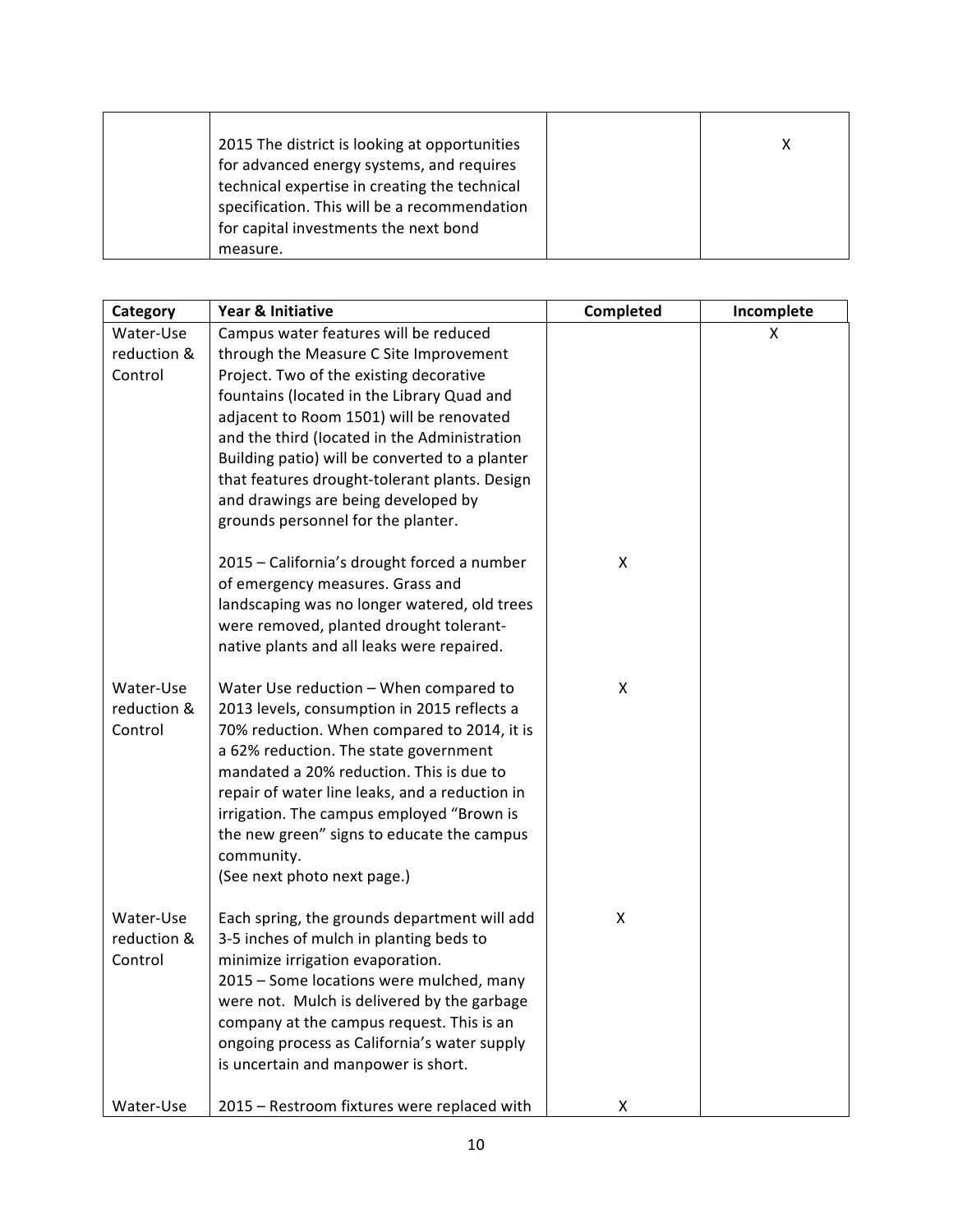| 2015 The district is looking at opportunities |  |
|-----------------------------------------------|--|
| for advanced energy systems, and requires     |  |
| technical expertise in creating the technical |  |
| specification. This will be a recommendation  |  |
| for capital investments the next bond         |  |
| measure.                                      |  |

| Category    | Year & Initiative                              | Completed | Incomplete |
|-------------|------------------------------------------------|-----------|------------|
| Water-Use   | Campus water features will be reduced          |           | X          |
| reduction & | through the Measure C Site Improvement         |           |            |
| Control     | Project. Two of the existing decorative        |           |            |
|             | fountains (located in the Library Quad and     |           |            |
|             | adjacent to Room 1501) will be renovated       |           |            |
|             | and the third (located in the Administration   |           |            |
|             | Building patio) will be converted to a planter |           |            |
|             | that features drought-tolerant plants. Design  |           |            |
|             | and drawings are being developed by            |           |            |
|             | grounds personnel for the planter.             |           |            |
|             | 2015 - California's drought forced a number    | X         |            |
|             | of emergency measures. Grass and               |           |            |
|             | landscaping was no longer watered, old trees   |           |            |
|             | were removed, planted drought tolerant-        |           |            |
|             | native plants and all leaks were repaired.     |           |            |
| Water-Use   | Water Use reduction - When compared to         | X         |            |
| reduction & | 2013 levels, consumption in 2015 reflects a    |           |            |
| Control     | 70% reduction. When compared to 2014, it is    |           |            |
|             | a 62% reduction. The state government          |           |            |
|             | mandated a 20% reduction. This is due to       |           |            |
|             | repair of water line leaks, and a reduction in |           |            |
|             | irrigation. The campus employed "Brown is      |           |            |
|             | the new green" signs to educate the campus     |           |            |
|             | community.                                     |           |            |
|             | (See next photo next page.)                    |           |            |
| Water-Use   | Each spring, the grounds department will add   | X         |            |
| reduction & | 3-5 inches of mulch in planting beds to        |           |            |
| Control     | minimize irrigation evaporation.               |           |            |
|             | 2015 - Some locations were mulched, many       |           |            |
|             | were not. Mulch is delivered by the garbage    |           |            |
|             | company at the campus request. This is an      |           |            |
|             | ongoing process as California's water supply   |           |            |
|             | is uncertain and manpower is short.            |           |            |
| Water-Use   | 2015 - Restroom fixtures were replaced with    | X         |            |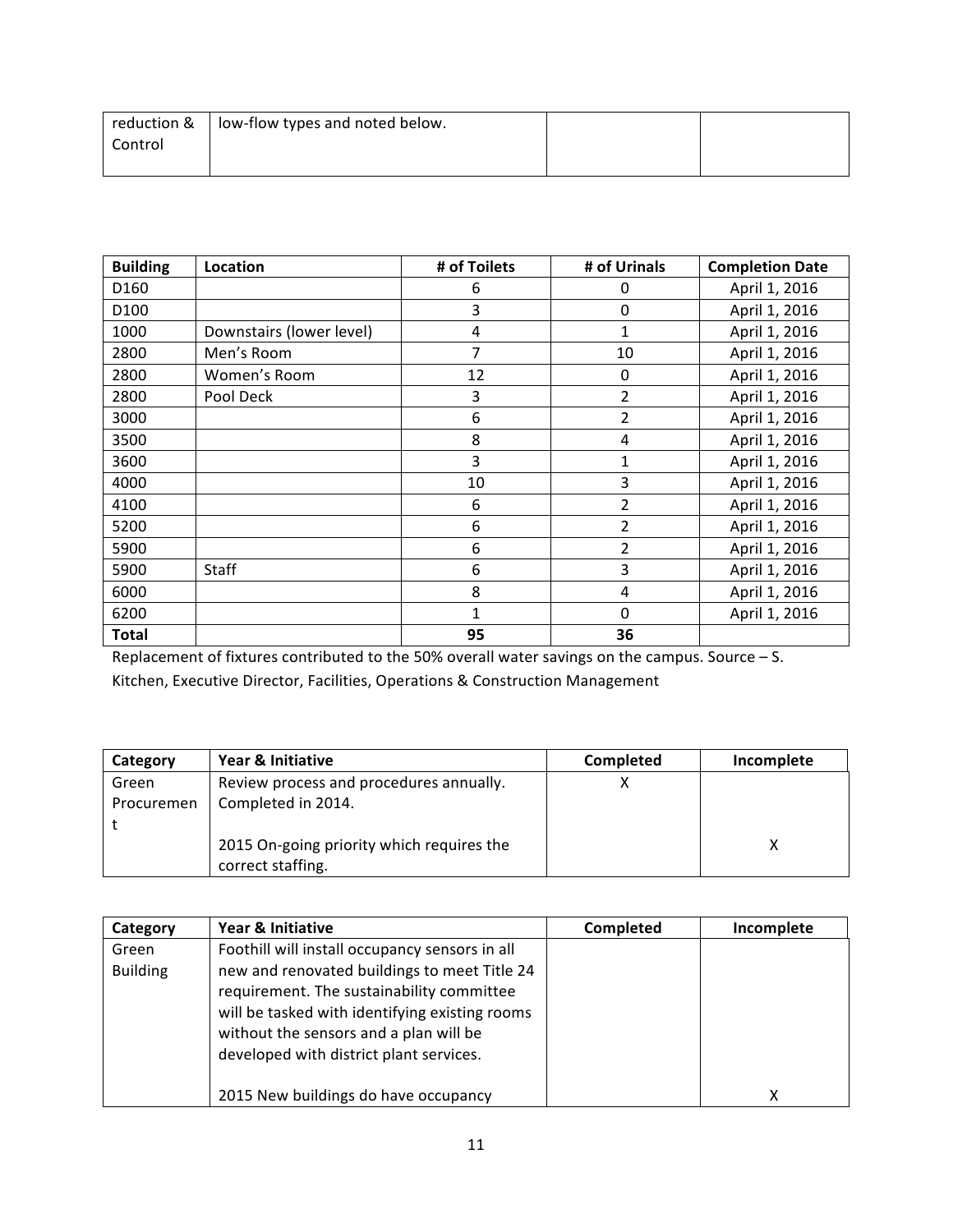|         | reduction $\&\,$   low-flow types and noted below. |  |
|---------|----------------------------------------------------|--|
| Control |                                                    |  |
|         |                                                    |  |

| <b>Building</b> | Location                 | # of Toilets | # of Urinals   | <b>Completion Date</b> |
|-----------------|--------------------------|--------------|----------------|------------------------|
| D160            |                          | 6            | 0              | April 1, 2016          |
| D100            |                          | 3            | 0              | April 1, 2016          |
| 1000            | Downstairs (lower level) | 4            | $\mathbf{1}$   | April 1, 2016          |
| 2800            | Men's Room               | 7            | 10             | April 1, 2016          |
| 2800            | Women's Room             | 12           | 0              | April 1, 2016          |
| 2800            | Pool Deck                | 3            | $\overline{2}$ | April 1, 2016          |
| 3000            |                          | 6            | $\overline{2}$ | April 1, 2016          |
| 3500            |                          | 8            | 4              | April 1, 2016          |
| 3600            |                          | 3            | 1              | April 1, 2016          |
| 4000            |                          | 10           | 3              | April 1, 2016          |
| 4100            |                          | 6            | 2              | April 1, 2016          |
| 5200            |                          | 6            | $\overline{2}$ | April 1, 2016          |
| 5900            |                          | 6            | 2              | April 1, 2016          |
| 5900            | Staff                    | 6            | 3              | April 1, 2016          |
| 6000            |                          | 8            | 4              | April 1, 2016          |
| 6200            |                          | 1            | 0              | April 1, 2016          |
| <b>Total</b>    |                          | 95           | 36             |                        |

Replacement of fixtures contributed to the 50% overall water savings on the campus. Source – S. Kitchen, Executive Director, Facilities, Operations & Construction Management

| Category   | Year & Initiative                                              | Completed | Incomplete |
|------------|----------------------------------------------------------------|-----------|------------|
| Green      | Review process and procedures annually.                        |           |            |
| Procuremen | Completed in 2014.                                             |           |            |
|            |                                                                |           |            |
|            | 2015 On-going priority which requires the<br>correct staffing. |           |            |

| Category        | Year & Initiative                                                                                                                                                                                                                | Completed | Incomplete |
|-----------------|----------------------------------------------------------------------------------------------------------------------------------------------------------------------------------------------------------------------------------|-----------|------------|
| Green           | Foothill will install occupancy sensors in all                                                                                                                                                                                   |           |            |
| <b>Building</b> | new and renovated buildings to meet Title 24<br>requirement. The sustainability committee<br>will be tasked with identifying existing rooms<br>without the sensors and a plan will be<br>developed with district plant services. |           |            |
|                 | 2015 New buildings do have occupancy                                                                                                                                                                                             |           | х          |